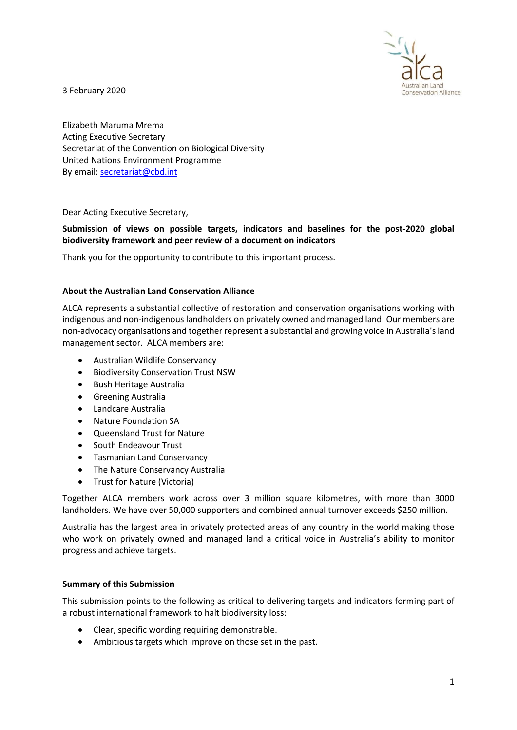

3 February 2020

Elizabeth Maruma Mrema Acting Executive Secretary Secretariat of the Convention on Biological Diversity United Nations Environment Programme By email: secretariat@cbd.int

Dear Acting Executive Secretary,

# Submission of views on possible targets, indicators and baselines for the post-2020 global biodiversity framework and peer review of a document on indicators

Thank you for the opportunity to contribute to this important process.

## About the Australian Land Conservation Alliance

ALCA represents a substantial collective of restoration and conservation organisations working with indigenous and non-indigenous landholders on privately owned and managed land. Our members are non-advocacy organisations and together represent a substantial and growing voice in Australia's land management sector. ALCA members are:

- Australian Wildlife Conservancy
- **•** Biodiversity Conservation Trust NSW
- **•** Bush Heritage Australia
- Greening Australia
- Landcare Australia
- Nature Foundation SA
- Queensland Trust for Nature
- South Endeavour Trust
- Tasmanian Land Conservancy
- The Nature Conservancy Australia
- Trust for Nature (Victoria)

Together ALCA members work across over 3 million square kilometres, with more than 3000 landholders. We have over 50,000 supporters and combined annual turnover exceeds \$250 million.

Australia has the largest area in privately protected areas of any country in the world making those who work on privately owned and managed land a critical voice in Australia's ability to monitor progress and achieve targets.

## Summary of this Submission

This submission points to the following as critical to delivering targets and indicators forming part of a robust international framework to halt biodiversity loss:

- Clear, specific wording requiring demonstrable.
- Ambitious targets which improve on those set in the past.